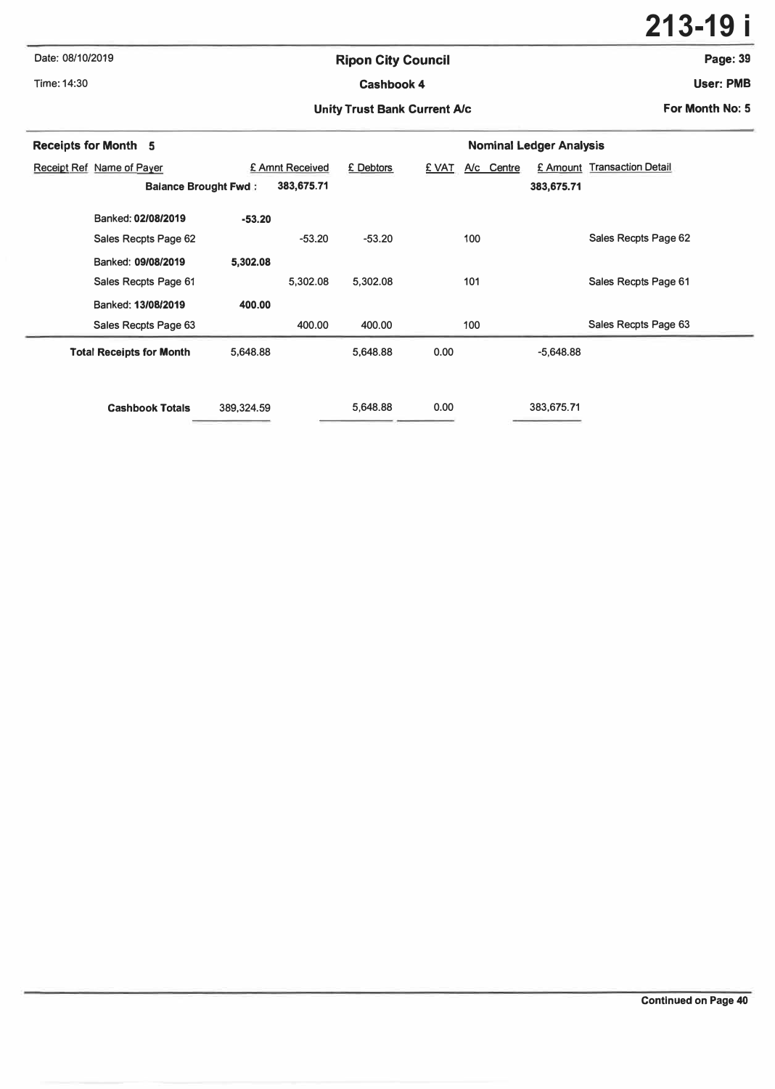### **Date: 08/10/2019 Ripon City Council Page:39**

**213-19 i**

# **Time: 14:30 Cashbook4 User: PMB**

#### Unity Trust Bank Current A/c **For Month No: 5 For Month No: 5**

| <b>Receipts for Month 5</b>     |            |                 | <b>Nominal Ledger Analysis</b> |                     |             |                             |  |  |  |
|---------------------------------|------------|-----------------|--------------------------------|---------------------|-------------|-----------------------------|--|--|--|
| Receipt Ref Name of Payer       |            | £ Amnt Received | £ Debtors                      | £ VAT<br>A/c Centre |             | £ Amount Transaction Detail |  |  |  |
| <b>Balance Brought Fwd:</b>     |            | 383,675.71      |                                |                     | 383,675.71  |                             |  |  |  |
| Banked: 02/08/2019              | $-53.20$   |                 |                                |                     |             |                             |  |  |  |
| Sales Recpts Page 62            |            | $-53.20$        | $-53.20$                       | 100                 |             | Sales Recpts Page 62        |  |  |  |
| Banked: 09/08/2019              | 5,302.08   |                 |                                |                     |             |                             |  |  |  |
| Sales Recpts Page 61            |            | 5,302.08        | 5.302.08                       | 101                 |             | Sales Recpts Page 61        |  |  |  |
| Banked: 13/08/2019              | 400.00     |                 |                                |                     |             |                             |  |  |  |
| Sales Recpts Page 63            |            | 400.00          | 400.00                         | 100                 |             | Sales Recpts Page 63        |  |  |  |
| <b>Total Receipts for Month</b> | 5,648.88   |                 | 5.648.88                       | 0.00                | $-5.648.88$ |                             |  |  |  |
|                                 |            |                 |                                |                     |             |                             |  |  |  |
| <b>Cashbook Totals</b>          | 389,324.59 |                 | 5,648.88                       | 0.00                | 383.675.71  |                             |  |  |  |